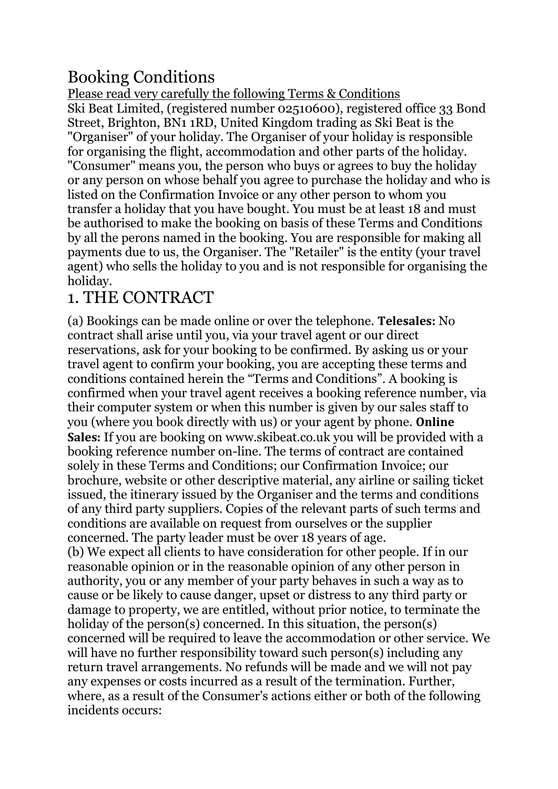# Booking Conditions

Please read very carefully the following Terms & Conditions Ski Beat Limited, (registered number 02510600), registered office 33 Bond Street, Brighton, BN1 1RD, United Kingdom trading as Ski Beat is the "Organiser" of your holiday. The Organiser of your holiday is responsible for organising the flight, accommodation and other parts of the holiday. "Consumer" means you, the person who buys or agrees to buy the holiday or any person on whose behalf you agree to purchase the holiday and who is listed on the Confirmation Invoice or any other person to whom you transfer a holiday that you have bought. You must be at least 18 and must be authorised to make the booking on basis of these Terms and Conditions by all the perons named in the booking. You are responsible for making all payments due to us, the Organiser. The "Retailer" is the entity (your travel agent) who sells the holiday to you and is not responsible for organising the holiday.

### 1. THE CONTRACT

(a) Bookings can be made online or over the telephone. **Telesales:** No contract shall arise until you, via your travel agent or our direct reservations, ask for your booking to be confirmed. By asking us or your travel agent to confirm your booking, you are accepting these terms and conditions contained herein the "Terms and Conditions". A booking is confirmed when your travel agent receives a booking reference number, via their computer system or when this number is given by our sales staff to you (where you book directly with us) or your agent by phone. **Online Sales:** If you are booking on www.skibeat.co.uk you will be provided with a booking reference number on-line. The terms of contract are contained solely in these Terms and Conditions; our Confirmation Invoice; our brochure, website or other descriptive material, any airline or sailing ticket issued, the itinerary issued by the Organiser and the terms and conditions of any third party suppliers. Copies of the relevant parts of such terms and conditions are available on request from ourselves or the supplier concerned. The party leader must be over 18 years of age. (b) We expect all clients to have consideration for other people. If in our reasonable opinion or in the reasonable opinion of any other person in authority, you or any member of your party behaves in such a way as to cause or be likely to cause danger, upset or distress to any third party or damage to property, we are entitled, without prior notice, to terminate the holiday of the person(s) concerned. In this situation, the person(s) concerned will be required to leave the accommodation or other service. We will have no further responsibility toward such person(s) including any return travel arrangements. No refunds will be made and we will not pay any expenses or costs incurred as a result of the termination. Further, where, as a result of the Consumer's actions either or both of the following incidents occurs: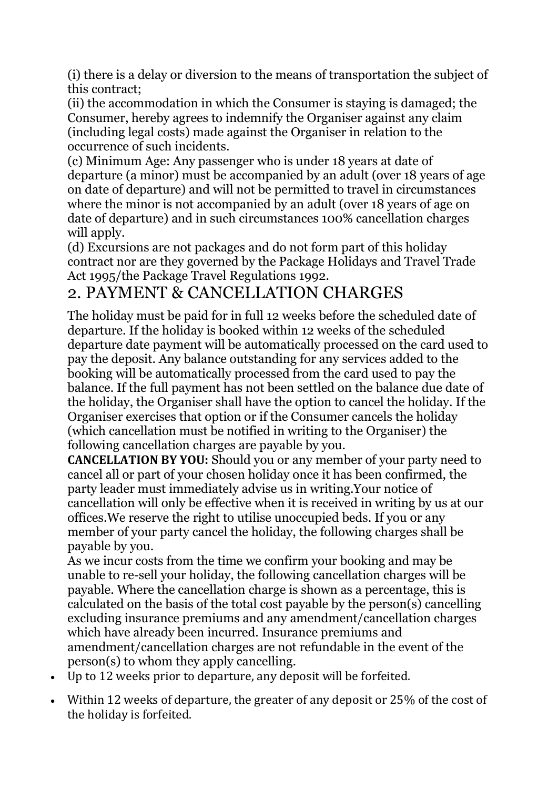(i) there is a delay or diversion to the means of transportation the subject of this contract;

(ii) the accommodation in which the Consumer is staying is damaged; the Consumer, hereby agrees to indemnify the Organiser against any claim (including legal costs) made against the Organiser in relation to the occurrence of such incidents.

(c) Minimum Age: Any passenger who is under 18 years at date of departure (a minor) must be accompanied by an adult (over 18 years of age on date of departure) and will not be permitted to travel in circumstances where the minor is not accompanied by an adult (over 18 years of age on date of departure) and in such circumstances 100% cancellation charges will apply.

(d) Excursions are not packages and do not form part of this holiday contract nor are they governed by the Package Holidays and Travel Trade Act 1995/the Package Travel Regulations 1992.

## 2. PAYMENT & CANCELLATION CHARGES

The holiday must be paid for in full 12 weeks before the scheduled date of departure. If the holiday is booked within 12 weeks of the scheduled departure date payment will be automatically processed on the card used to pay the deposit. Any balance outstanding for any services added to the booking will be automatically processed from the card used to pay the balance. If the full payment has not been settled on the balance due date of the holiday, the Organiser shall have the option to cancel the holiday. If the Organiser exercises that option or if the Consumer cancels the holiday (which cancellation must be notified in writing to the Organiser) the following cancellation charges are payable by you.

**CANCELLATION BY YOU:** Should you or any member of your party need to cancel all or part of your chosen holiday once it has been confirmed, the party leader must immediately advise us in writing.Your notice of cancellation will only be effective when it is received in writing by us at our offices.We reserve the right to utilise unoccupied beds. If you or any member of your party cancel the holiday, the following charges shall be payable by you.

As we incur costs from the time we confirm your booking and may be unable to re-sell your holiday, the following cancellation charges will be payable. Where the cancellation charge is shown as a percentage, this is calculated on the basis of the total cost payable by the person(s) cancelling excluding insurance premiums and any amendment/cancellation charges which have already been incurred. Insurance premiums and amendment/cancellation charges are not refundable in the event of the person(s) to whom they apply cancelling.

- Up to 12 weeks prior to departure, any deposit will be forfeited.
- Within 12 weeks of departure, the greater of any deposit or 25% of the cost of the holiday is forfeited.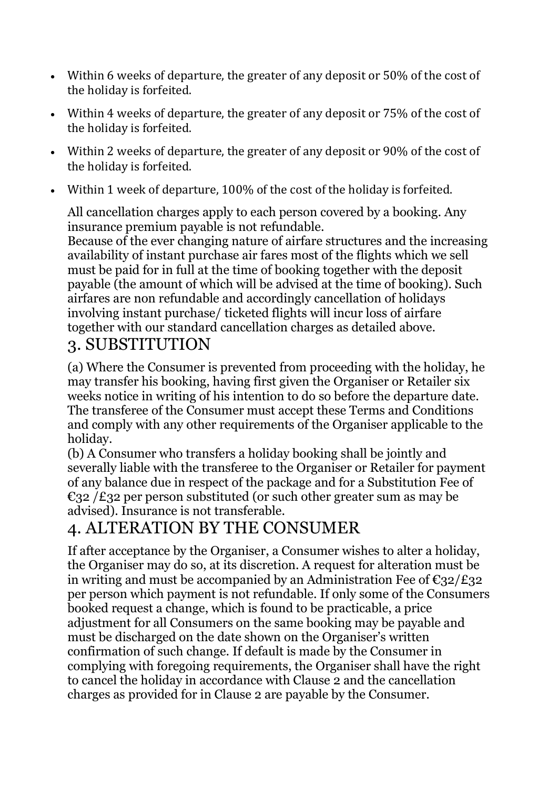- Within 6 weeks of departure, the greater of any deposit or 50% of the cost of the holiday is forfeited.
- Within 4 weeks of departure, the greater of any deposit or 75% of the cost of the holiday is forfeited.
- Within 2 weeks of departure, the greater of any deposit or 90% of the cost of the holiday is forfeited.
- Within 1 week of departure, 100% of the cost of the holiday is forfeited.

All cancellation charges apply to each person covered by a booking. Any insurance premium payable is not refundable.

Because of the ever changing nature of airfare structures and the increasing availability of instant purchase air fares most of the flights which we sell must be paid for in full at the time of booking together with the deposit payable (the amount of which will be advised at the time of booking). Such airfares are non refundable and accordingly cancellation of holidays involving instant purchase/ ticketed flights will incur loss of airfare together with our standard cancellation charges as detailed above.

### 3. SUBSTITUTION

(a) Where the Consumer is prevented from proceeding with the holiday, he may transfer his booking, having first given the Organiser or Retailer six weeks notice in writing of his intention to do so before the departure date. The transferee of the Consumer must accept these Terms and Conditions and comply with any other requirements of the Organiser applicable to the holiday.

(b) A Consumer who transfers a holiday booking shall be jointly and severally liable with the transferee to the Organiser or Retailer for payment of any balance due in respect of the package and for a Substitution Fee of  $\epsilon$ 32 /£32 per person substituted (or such other greater sum as may be advised). Insurance is not transferable.

## 4. ALTERATION BY THE CONSUMER

If after acceptance by the Organiser, a Consumer wishes to alter a holiday, the Organiser may do so, at its discretion. A request for alteration must be in writing and must be accompanied by an Administration Fee of  $\epsilon_{32}/\epsilon_{32}$ per person which payment is not refundable. If only some of the Consumers booked request a change, which is found to be practicable, a price adjustment for all Consumers on the same booking may be payable and must be discharged on the date shown on the Organiser's written confirmation of such change. If default is made by the Consumer in complying with foregoing requirements, the Organiser shall have the right to cancel the holiday in accordance with Clause 2 and the cancellation charges as provided for in Clause 2 are payable by the Consumer.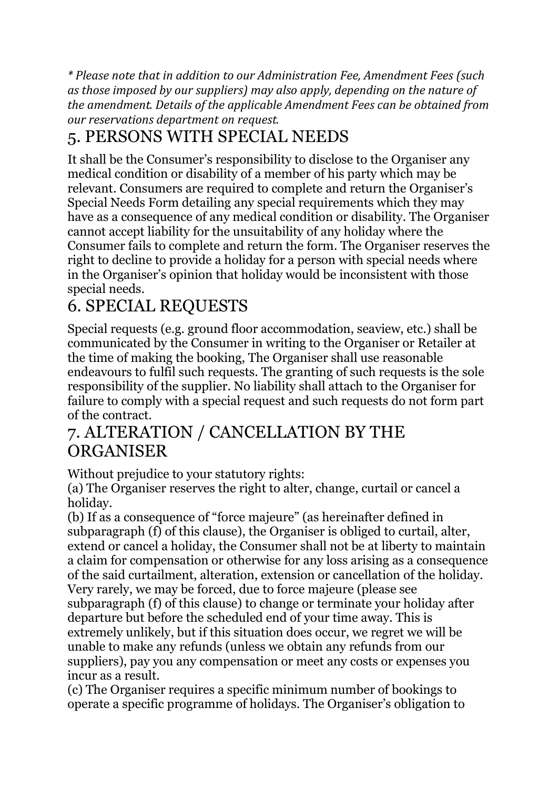*\* Please note that in addition to our Administration Fee, Amendment Fees (such as those imposed by our suppliers) may also apply, depending on the nature of the amendment. Details of the applicable Amendment Fees can be obtained from our reservations department on request.*

# 5. PERSONS WITH SPECIAL NEEDS

It shall be the Consumer's responsibility to disclose to the Organiser any medical condition or disability of a member of his party which may be relevant. Consumers are required to complete and return the Organiser's Special Needs Form detailing any special requirements which they may have as a consequence of any medical condition or disability. The Organiser cannot accept liability for the unsuitability of any holiday where the Consumer fails to complete and return the form. The Organiser reserves the right to decline to provide a holiday for a person with special needs where in the Organiser's opinion that holiday would be inconsistent with those special needs.

# 6. SPECIAL REQUESTS

Special requests (e.g. ground floor accommodation, seaview, etc.) shall be communicated by the Consumer in writing to the Organiser or Retailer at the time of making the booking, The Organiser shall use reasonable endeavours to fulfil such requests. The granting of such requests is the sole responsibility of the supplier. No liability shall attach to the Organiser for failure to comply with a special request and such requests do not form part of the contract.

### 7. ALTERATION / CANCELLATION BY THE **ORGANISER**

Without prejudice to your statutory rights:

(a) The Organiser reserves the right to alter, change, curtail or cancel a holiday.

(b) If as a consequence of "force majeure" (as hereinafter defined in subparagraph (f) of this clause), the Organiser is obliged to curtail, alter, extend or cancel a holiday, the Consumer shall not be at liberty to maintain a claim for compensation or otherwise for any loss arising as a consequence of the said curtailment, alteration, extension or cancellation of the holiday. Very rarely, we may be forced, due to force majeure (please see subparagraph (f) of this clause) to change or terminate your holiday after departure but before the scheduled end of your time away. This is extremely unlikely, but if this situation does occur, we regret we will be unable to make any refunds (unless we obtain any refunds from our suppliers), pay you any compensation or meet any costs or expenses you incur as a result.

(c) The Organiser requires a specific minimum number of bookings to operate a specific programme of holidays. The Organiser's obligation to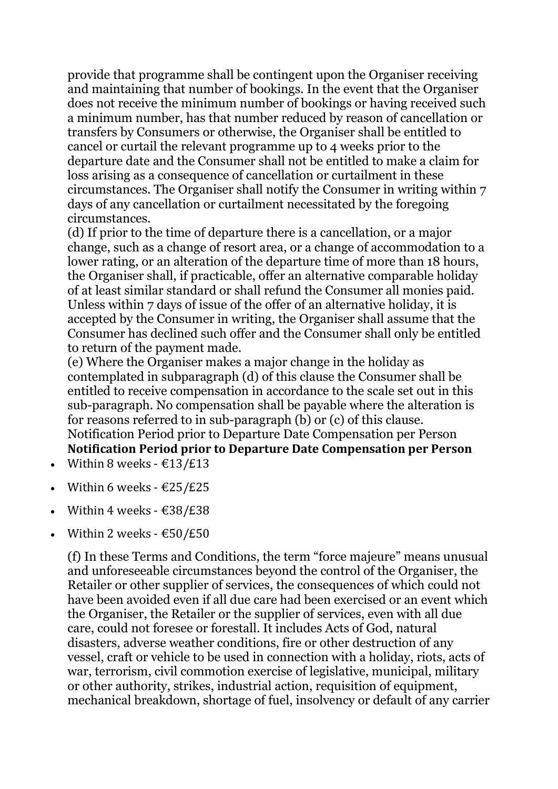provide that programme shall be contingent upon the Organiser receiving and maintaining that number of bookings. In the event that the Organiser does not receive the minimum number of bookings or having received such a minimum number, has that number reduced by reason of cancellation or transfers by Consumers or otherwise, the Organiser shall be entitled to cancel or curtail the relevant programme up to 4 weeks prior to the departure date and the Consumer shall not be entitled to make a claim for loss arising as a consequence of cancellation or curtailment in these circumstances. The Organiser shall notify the Consumer in writing within 7 days of any cancellation or curtailment necessitated by the foregoing circumstances.

(d) If prior to the time of departure there is a cancellation, or a major change, such as a change of resort area, or a change of accommodation to a lower rating, or an alteration of the departure time of more than 18 hours, the Organiser shall, if practicable, offer an alternative comparable holiday of at least similar standard or shall refund the Consumer all monies paid. Unless within 7 days of issue of the offer of an alternative holiday, it is accepted by the Consumer in writing, the Organiser shall assume that the Consumer has declined such offer and the Consumer shall only be entitled to return of the payment made.

(e) Where the Organiser makes a major change in the holiday as contemplated in subparagraph (d) of this clause the Consumer shall be entitled to receive compensation in accordance to the scale set out in this sub-paragraph. No compensation shall be payable where the alteration is for reasons referred to in sub-paragraph (b) or (c) of this clause. Notification Period prior to Departure Date Compensation per Person **Notification Period prior to Departure Date Compensation per Person**

- Within 8 weeks  $\text{\textsterling}13/\text{\textsterling}13$
- Within 6 weeks  $\text{\textsterling}25/\text{\textsterling}25$
- Within 4 weeks  $\text{\textsterling}38/\text{\textsterling}38$
- Within 2 weeks  $\text{\textsterling}50/\text{\textsterling}50$

(f) In these Terms and Conditions, the term "force majeure" means unusual and unforeseeable circumstances beyond the control of the Organiser, the Retailer or other supplier of services, the consequences of which could not have been avoided even if all due care had been exercised or an event which the Organiser, the Retailer or the supplier of services, even with all due care, could not foresee or forestall. It includes Acts of God, natural disasters, adverse weather conditions, fire or other destruction of any vessel, craft or vehicle to be used in connection with a holiday, riots, acts of war, terrorism, civil commotion exercise of legislative, municipal, military or other authority, strikes, industrial action, requisition of equipment, mechanical breakdown, shortage of fuel, insolvency or default of any carrier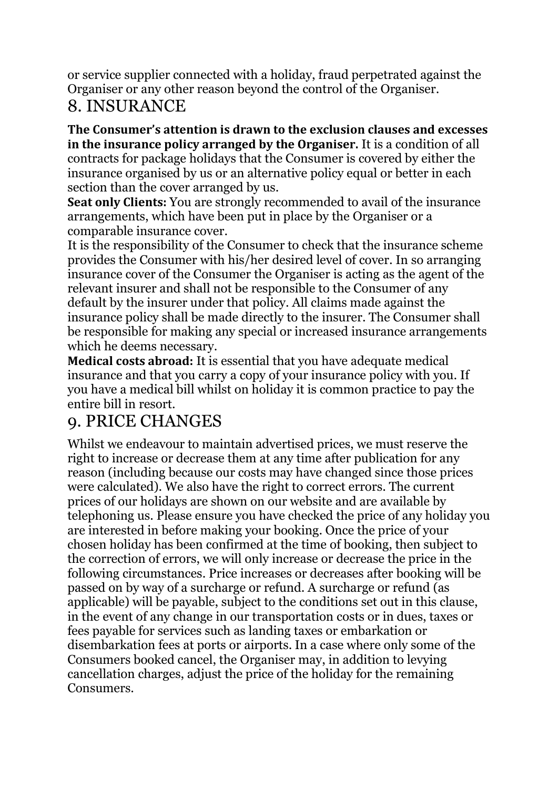or service supplier connected with a holiday, fraud perpetrated against the Organiser or any other reason beyond the control of the Organiser.

## 8. INSURANCE

**The Consumer's attention is drawn to the exclusion clauses and excesses in the insurance policy arranged by the Organiser.** It is a condition of all contracts for package holidays that the Consumer is covered by either the insurance organised by us or an alternative policy equal or better in each section than the cover arranged by us.

**Seat only Clients:** You are strongly recommended to avail of the insurance arrangements, which have been put in place by the Organiser or a comparable insurance cover.

It is the responsibility of the Consumer to check that the insurance scheme provides the Consumer with his/her desired level of cover. In so arranging insurance cover of the Consumer the Organiser is acting as the agent of the relevant insurer and shall not be responsible to the Consumer of any default by the insurer under that policy. All claims made against the insurance policy shall be made directly to the insurer. The Consumer shall be responsible for making any special or increased insurance arrangements which he deems necessary.

**Medical costs abroad:** It is essential that you have adequate medical insurance and that you carry a copy of your insurance policy with you. If you have a medical bill whilst on holiday it is common practice to pay the entire bill in resort.

# 9. PRICE CHANGES

Whilst we endeavour to maintain advertised prices, we must reserve the right to increase or decrease them at any time after publication for any reason (including because our costs may have changed since those prices were calculated). We also have the right to correct errors. The current prices of our holidays are shown on our website and are available by telephoning us. Please ensure you have checked the price of any holiday you are interested in before making your booking. Once the price of your chosen holiday has been confirmed at the time of booking, then subject to the correction of errors, we will only increase or decrease the price in the following circumstances. Price increases or decreases after booking will be passed on by way of a surcharge or refund. A surcharge or refund (as applicable) will be payable, subject to the conditions set out in this clause, in the event of any change in our transportation costs or in dues, taxes or fees payable for services such as landing taxes or embarkation or disembarkation fees at ports or airports. In a case where only some of the Consumers booked cancel, the Organiser may, in addition to levying cancellation charges, adjust the price of the holiday for the remaining Consumers.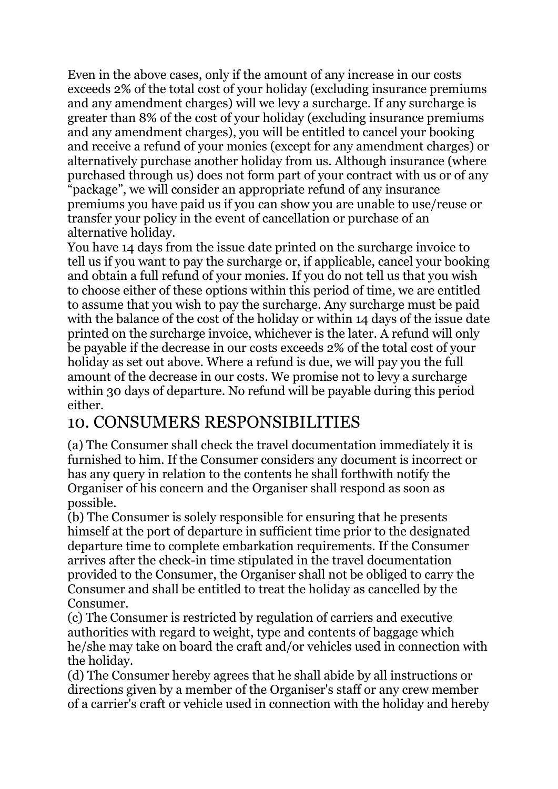Even in the above cases, only if the amount of any increase in our costs exceeds 2% of the total cost of your holiday (excluding insurance premiums and any amendment charges) will we levy a surcharge. If any surcharge is greater than 8% of the cost of your holiday (excluding insurance premiums and any amendment charges), you will be entitled to cancel your booking and receive a refund of your monies (except for any amendment charges) or alternatively purchase another holiday from us. Although insurance (where purchased through us) does not form part of your contract with us or of any "package", we will consider an appropriate refund of any insurance premiums you have paid us if you can show you are unable to use/reuse or transfer your policy in the event of cancellation or purchase of an alternative holiday.

You have 14 days from the issue date printed on the surcharge invoice to tell us if you want to pay the surcharge or, if applicable, cancel your booking and obtain a full refund of your monies. If you do not tell us that you wish to choose either of these options within this period of time, we are entitled to assume that you wish to pay the surcharge. Any surcharge must be paid with the balance of the cost of the holiday or within 14 days of the issue date printed on the surcharge invoice, whichever is the later. A refund will only be payable if the decrease in our costs exceeds 2% of the total cost of your holiday as set out above. Where a refund is due, we will pay you the full amount of the decrease in our costs. We promise not to levy a surcharge within 30 days of departure. No refund will be payable during this period either.

### 10. CONSUMERS RESPONSIBILITIES

(a) The Consumer shall check the travel documentation immediately it is furnished to him. If the Consumer considers any document is incorrect or has any query in relation to the contents he shall forthwith notify the Organiser of his concern and the Organiser shall respond as soon as possible.

(b) The Consumer is solely responsible for ensuring that he presents himself at the port of departure in sufficient time prior to the designated departure time to complete embarkation requirements. If the Consumer arrives after the check-in time stipulated in the travel documentation provided to the Consumer, the Organiser shall not be obliged to carry the Consumer and shall be entitled to treat the holiday as cancelled by the Consumer.

(c) The Consumer is restricted by regulation of carriers and executive authorities with regard to weight, type and contents of baggage which he/she may take on board the craft and/or vehicles used in connection with the holiday.

(d) The Consumer hereby agrees that he shall abide by all instructions or directions given by a member of the Organiser's staff or any crew member of a carrier's craft or vehicle used in connection with the holiday and hereby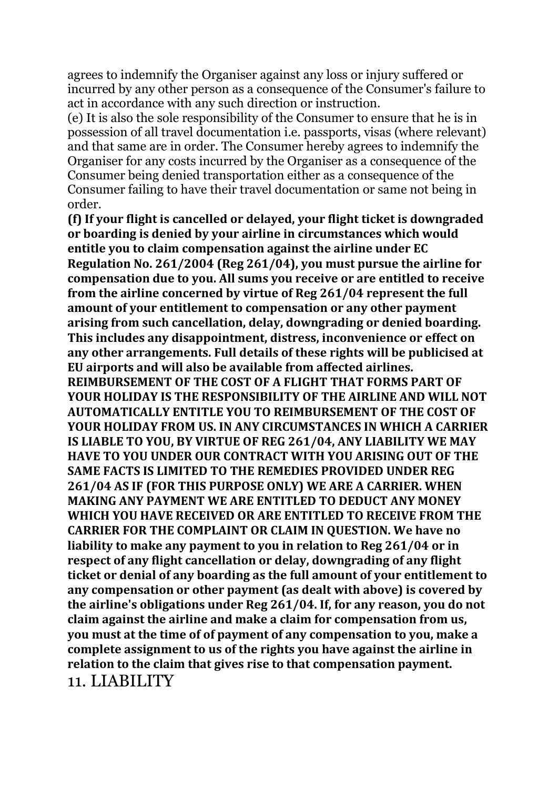agrees to indemnify the Organiser against any loss or injury suffered or incurred by any other person as a consequence of the Consumer's failure to act in accordance with any such direction or instruction.

(e) It is also the sole responsibility of the Consumer to ensure that he is in possession of all travel documentation i.e. passports, visas (where relevant) and that same are in order. The Consumer hereby agrees to indemnify the Organiser for any costs incurred by the Organiser as a consequence of the Consumer being denied transportation either as a consequence of the Consumer failing to have their travel documentation or same not being in order.

**(f) If your flight is cancelled or delayed, your flight ticket is downgraded or boarding is denied by your airline in circumstances which would entitle you to claim compensation against the airline under EC Regulation No. 261/2004 (Reg 261/04), you must pursue the airline for compensation due to you. All sums you receive or are entitled to receive from the airline concerned by virtue of Reg 261/04 represent the full amount of your entitlement to compensation or any other payment arising from such cancellation, delay, downgrading or denied boarding. This includes any disappointment, distress, inconvenience or effect on any other arrangements. Full details of these rights will be publicised at EU airports and will also be available from affected airlines. REIMBURSEMENT OF THE COST OF A FLIGHT THAT FORMS PART OF YOUR HOLIDAY IS THE RESPONSIBILITY OF THE AIRLINE AND WILL NOT AUTOMATICALLY ENTITLE YOU TO REIMBURSEMENT OF THE COST OF YOUR HOLIDAY FROM US. IN ANY CIRCUMSTANCES IN WHICH A CARRIER IS LIABLE TO YOU, BY VIRTUE OF REG 261/04, ANY LIABILITY WE MAY HAVE TO YOU UNDER OUR CONTRACT WITH YOU ARISING OUT OF THE SAME FACTS IS LIMITED TO THE REMEDIES PROVIDED UNDER REG 261/04 AS IF (FOR THIS PURPOSE ONLY) WE ARE A CARRIER. WHEN MAKING ANY PAYMENT WE ARE ENTITLED TO DEDUCT ANY MONEY WHICH YOU HAVE RECEIVED OR ARE ENTITLED TO RECEIVE FROM THE CARRIER FOR THE COMPLAINT OR CLAIM IN QUESTION. We have no liability to make any payment to you in relation to Reg 261/04 or in respect of any flight cancellation or delay, downgrading of any flight ticket or denial of any boarding as the full amount of your entitlement to any compensation or other payment (as dealt with above) is covered by the airline's obligations under Reg 261/04. If, for any reason, you do not claim against the airline and make a claim for compensation from us, you must at the time of of payment of any compensation to you, make a complete assignment to us of the rights you have against the airline in relation to the claim that gives rise to that compensation payment.** 11. LIABILITY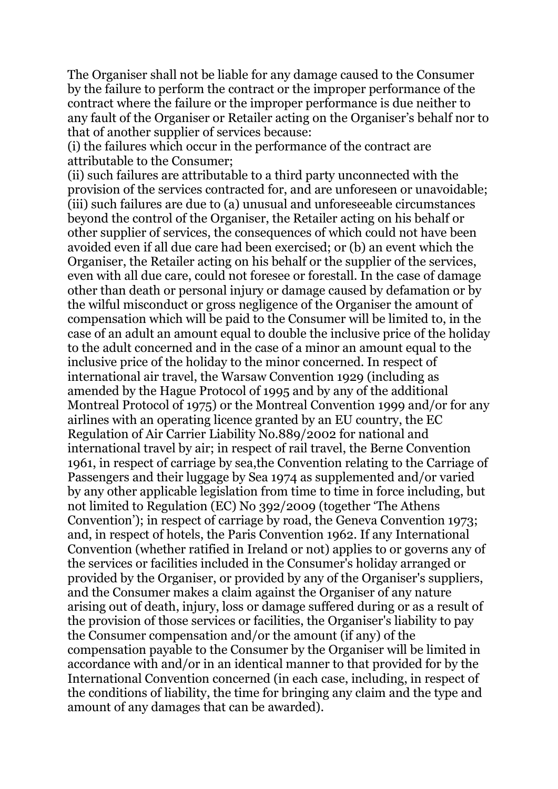The Organiser shall not be liable for any damage caused to the Consumer by the failure to perform the contract or the improper performance of the contract where the failure or the improper performance is due neither to any fault of the Organiser or Retailer acting on the Organiser's behalf nor to that of another supplier of services because:

(i) the failures which occur in the performance of the contract are attributable to the Consumer;

(ii) such failures are attributable to a third party unconnected with the provision of the services contracted for, and are unforeseen or unavoidable; (iii) such failures are due to (a) unusual and unforeseeable circumstances beyond the control of the Organiser, the Retailer acting on his behalf or other supplier of services, the consequences of which could not have been avoided even if all due care had been exercised; or (b) an event which the Organiser, the Retailer acting on his behalf or the supplier of the services, even with all due care, could not foresee or forestall. In the case of damage other than death or personal injury or damage caused by defamation or by the wilful misconduct or gross negligence of the Organiser the amount of compensation which will be paid to the Consumer will be limited to, in the case of an adult an amount equal to double the inclusive price of the holiday to the adult concerned and in the case of a minor an amount equal to the inclusive price of the holiday to the minor concerned. In respect of international air travel, the Warsaw Convention 1929 (including as amended by the Hague Protocol of 1995 and by any of the additional Montreal Protocol of 1975) or the Montreal Convention 1999 and/or for any airlines with an operating licence granted by an EU country, the EC Regulation of Air Carrier Liability No.889/2002 for national and international travel by air; in respect of rail travel, the Berne Convention 1961, in respect of carriage by sea,the Convention relating to the Carriage of Passengers and their luggage by Sea 1974 as supplemented and/or varied by any other applicable legislation from time to time in force including, but not limited to Regulation (EC) No 392/2009 (together 'The Athens Convention'); in respect of carriage by road, the Geneva Convention 1973; and, in respect of hotels, the Paris Convention 1962. If any International Convention (whether ratified in Ireland or not) applies to or governs any of the services or facilities included in the Consumer's holiday arranged or provided by the Organiser, or provided by any of the Organiser's suppliers, and the Consumer makes a claim against the Organiser of any nature arising out of death, injury, loss or damage suffered during or as a result of the provision of those services or facilities, the Organiser's liability to pay the Consumer compensation and/or the amount (if any) of the compensation payable to the Consumer by the Organiser will be limited in accordance with and/or in an identical manner to that provided for by the International Convention concerned (in each case, including, in respect of the conditions of liability, the time for bringing any claim and the type and amount of any damages that can be awarded).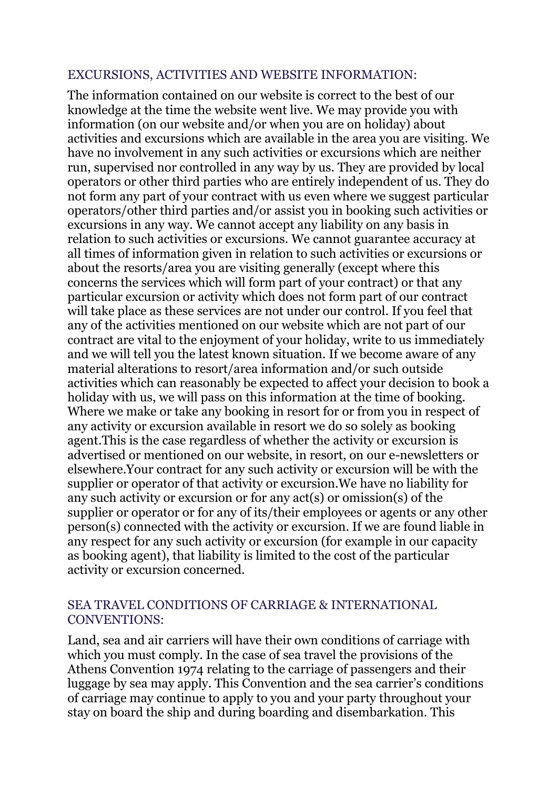#### EXCURSIONS, ACTIVITIES AND WEBSITE INFORMATION:

The information contained on our website is correct to the best of our knowledge at the time the website went live. We may provide you with information (on our website and/or when you are on holiday) about activities and excursions which are available in the area you are visiting. We have no involvement in any such activities or excursions which are neither run, supervised nor controlled in any way by us. They are provided by local operators or other third parties who are entirely independent of us. They do not form any part of your contract with us even where we suggest particular operators/other third parties and/or assist you in booking such activities or excursions in any way. We cannot accept any liability on any basis in relation to such activities or excursions. We cannot guarantee accuracy at all times of information given in relation to such activities or excursions or about the resorts/area you are visiting generally (except where this concerns the services which will form part of your contract) or that any particular excursion or activity which does not form part of our contract will take place as these services are not under our control. If you feel that any of the activities mentioned on our website which are not part of our contract are vital to the enjoyment of your holiday, write to us immediately and we will tell you the latest known situation. If we become aware of any material alterations to resort/area information and/or such outside activities which can reasonably be expected to affect your decision to book a holiday with us, we will pass on this information at the time of booking. Where we make or take any booking in resort for or from you in respect of any activity or excursion available in resort we do so solely as booking agent.This is the case regardless of whether the activity or excursion is advertised or mentioned on our website, in resort, on our e-newsletters or elsewhere.Your contract for any such activity or excursion will be with the supplier or operator of that activity or excursion.We have no liability for any such activity or excursion or for any act(s) or omission(s) of the supplier or operator or for any of its/their employees or agents or any other person(s) connected with the activity or excursion. If we are found liable in any respect for any such activity or excursion (for example in our capacity as booking agent), that liability is limited to the cost of the particular activity or excursion concerned.

#### SEA TRAVEL CONDITIONS OF CARRIAGE & INTERNATIONAL CONVENTIONS:

Land, sea and air carriers will have their own conditions of carriage with which you must comply. In the case of sea travel the provisions of the Athens Convention 1974 relating to the carriage of passengers and their luggage by sea may apply. This Convention and the sea carrier's conditions of carriage may continue to apply to you and your party throughout your stay on board the ship and during boarding and disembarkation. This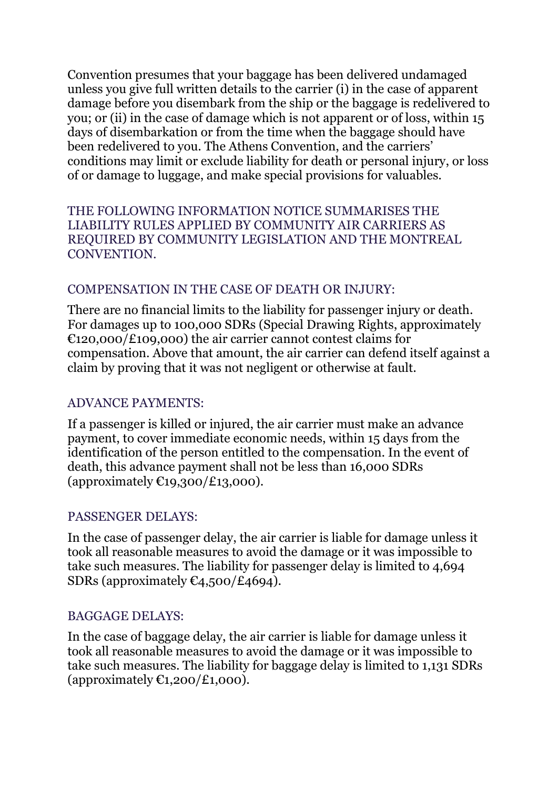Convention presumes that your baggage has been delivered undamaged unless you give full written details to the carrier (i) in the case of apparent damage before you disembark from the ship or the baggage is redelivered to you; or (ii) in the case of damage which is not apparent or of loss, within 15 days of disembarkation or from the time when the baggage should have been redelivered to you. The Athens Convention, and the carriers' conditions may limit or exclude liability for death or personal injury, or loss of or damage to luggage, and make special provisions for valuables.

THE FOLLOWING INFORMATION NOTICE SUMMARISES THE LIABILITY RULES APPLIED BY COMMUNITY AIR CARRIERS AS REQUIRED BY COMMUNITY LEGISLATION AND THE MONTREAL CONVENTION.

#### COMPENSATION IN THE CASE OF DEATH OR INJURY:

There are no financial limits to the liability for passenger injury or death. For damages up to 100,000 SDRs (Special Drawing Rights, approximately €120,000/£109,000) the air carrier cannot contest claims for compensation. Above that amount, the air carrier can defend itself against a claim by proving that it was not negligent or otherwise at fault.

#### ADVANCE PAYMENTS:

If a passenger is killed or injured, the air carrier must make an advance payment, to cover immediate economic needs, within 15 days from the identification of the person entitled to the compensation. In the event of death, this advance payment shall not be less than 16,000 SDRs (approximately  $\epsilon_{19,300}/\epsilon_{13,000}$ ).

#### PASSENGER DELAYS:

In the case of passenger delay, the air carrier is liable for damage unless it took all reasonable measures to avoid the damage or it was impossible to take such measures. The liability for passenger delay is limited to 4,694 SDRs (approximately  $\mathfrak{C}_4$ , 500/£4694).

#### BAGGAGE DELAYS:

In the case of baggage delay, the air carrier is liable for damage unless it took all reasonable measures to avoid the damage or it was impossible to take such measures. The liability for baggage delay is limited to 1,131 SDRs (approximately  $\mathfrak{C}_{1,200}/\mathfrak{L}_{1,000}$ ).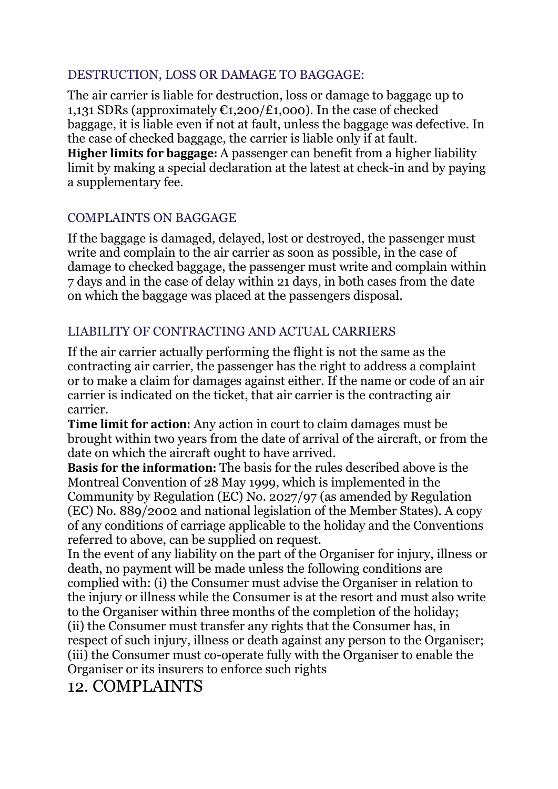#### DESTRUCTION, LOSS OR DAMAGE TO BAGGAGE:

The air carrier is liable for destruction, loss or damage to baggage up to 1,131 SDRs (approximately  $\epsilon$ 1,200/£1,000). In the case of checked baggage, it is liable even if not at fault, unless the baggage was defective. In the case of checked baggage, the carrier is liable only if at fault. **Higher limits for baggage:** A passenger can benefit from a higher liability limit by making a special declaration at the latest at check-in and by paying a supplementary fee.

#### COMPLAINTS ON BAGGAGE

If the baggage is damaged, delayed, lost or destroyed, the passenger must write and complain to the air carrier as soon as possible, in the case of damage to checked baggage, the passenger must write and complain within 7 days and in the case of delay within 21 days, in both cases from the date on which the baggage was placed at the passengers disposal.

#### LIABILITY OF CONTRACTING AND ACTUAL CARRIERS

If the air carrier actually performing the flight is not the same as the contracting air carrier, the passenger has the right to address a complaint or to make a claim for damages against either. If the name or code of an air carrier is indicated on the ticket, that air carrier is the contracting air carrier.

**Time limit for action:** Any action in court to claim damages must be brought within two years from the date of arrival of the aircraft, or from the date on which the aircraft ought to have arrived.

**Basis for the information:** The basis for the rules described above is the Montreal Convention of 28 May 1999, which is implemented in the Community by Regulation (EC) No. 2027/97 (as amended by Regulation (EC) No. 889/2002 and national legislation of the Member States). A copy of any conditions of carriage applicable to the holiday and the Conventions referred to above, can be supplied on request.

In the event of any liability on the part of the Organiser for injury, illness or death, no payment will be made unless the following conditions are complied with: (i) the Consumer must advise the Organiser in relation to the injury or illness while the Consumer is at the resort and must also write to the Organiser within three months of the completion of the holiday; (ii) the Consumer must transfer any rights that the Consumer has, in respect of such injury, illness or death against any person to the Organiser; (iii) the Consumer must co-operate fully with the Organiser to enable the Organiser or its insurers to enforce such rights

### 12. COMPLAINTS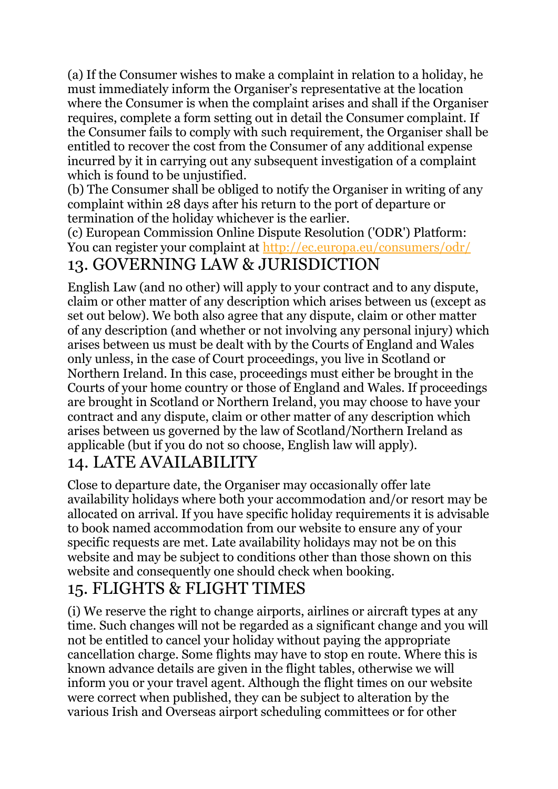(a) If the Consumer wishes to make a complaint in relation to a holiday, he must immediately inform the Organiser's representative at the location where the Consumer is when the complaint arises and shall if the Organiser requires, complete a form setting out in detail the Consumer complaint. If the Consumer fails to comply with such requirement, the Organiser shall be entitled to recover the cost from the Consumer of any additional expense incurred by it in carrying out any subsequent investigation of a complaint which is found to be unjustified.

(b) The Consumer shall be obliged to notify the Organiser in writing of any complaint within 28 days after his return to the port of departure or termination of the holiday whichever is the earlier.

(c) European Commission Online Dispute Resolution ('ODR') Platform: You can register your complaint at <http://ec.europa.eu/consumers/odr/> 13. GOVERNING LAW & JURISDICTION

English Law (and no other) will apply to your contract and to any dispute, claim or other matter of any description which arises between us (except as set out below). We both also agree that any dispute, claim or other matter of any description (and whether or not involving any personal injury) which arises between us must be dealt with by the Courts of England and Wales only unless, in the case of Court proceedings, you live in Scotland or Northern Ireland. In this case, proceedings must either be brought in the Courts of your home country or those of England and Wales. If proceedings are brought in Scotland or Northern Ireland, you may choose to have your contract and any dispute, claim or other matter of any description which arises between us governed by the law of Scotland/Northern Ireland as applicable (but if you do not so choose, English law will apply).

### 14. LATE AVAILABILITY

Close to departure date, the Organiser may occasionally offer late availability holidays where both your accommodation and/or resort may be allocated on arrival. If you have specific holiday requirements it is advisable to book named accommodation from our website to ensure any of your specific requests are met. Late availability holidays may not be on this website and may be subject to conditions other than those shown on this website and consequently one should check when booking.

# 15. FLIGHTS & FLIGHT TIMES

(i) We reserve the right to change airports, airlines or aircraft types at any time. Such changes will not be regarded as a significant change and you will not be entitled to cancel your holiday without paying the appropriate cancellation charge. Some flights may have to stop en route. Where this is known advance details are given in the flight tables, otherwise we will inform you or your travel agent. Although the flight times on our website were correct when published, they can be subject to alteration by the various Irish and Overseas airport scheduling committees or for other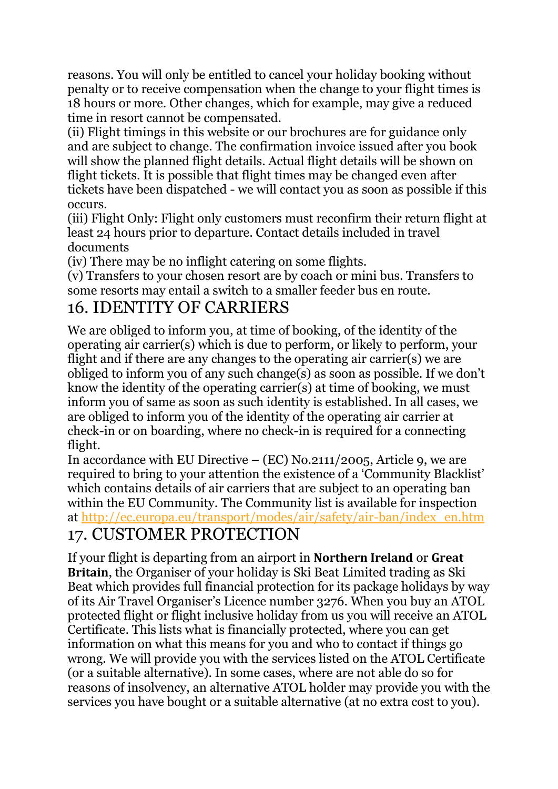reasons. You will only be entitled to cancel your holiday booking without penalty or to receive compensation when the change to your flight times is 18 hours or more. Other changes, which for example, may give a reduced time in resort cannot be compensated.

(ii) Flight timings in this website or our brochures are for guidance only and are subject to change. The confirmation invoice issued after you book will show the planned flight details. Actual flight details will be shown on flight tickets. It is possible that flight times may be changed even after tickets have been dispatched - we will contact you as soon as possible if this occurs.

(iii) Flight Only: Flight only customers must reconfirm their return flight at least 24 hours prior to departure. Contact details included in travel documents

(iv) There may be no inflight catering on some flights.

(v) Transfers to your chosen resort are by coach or mini bus. Transfers to some resorts may entail a switch to a smaller feeder bus en route.

### 16. IDENTITY OF CARRIERS

We are obliged to inform you, at time of booking, of the identity of the operating air carrier(s) which is due to perform, or likely to perform, your flight and if there are any changes to the operating air carrier(s) we are obliged to inform you of any such change(s) as soon as possible. If we don't know the identity of the operating carrier(s) at time of booking, we must inform you of same as soon as such identity is established. In all cases, we are obliged to inform you of the identity of the operating air carrier at check-in or on boarding, where no check-in is required for a connecting flight.

In accordance with EU Directive – (EC) No.2111/2005, Article 9, we are required to bring to your attention the existence of a 'Community Blacklist' which contains details of air carriers that are subject to an operating ban within the EU Community. The Community list is available for inspection at [http://ec.europa.eu/transport/modes/air/safety/air-ban/index\\_en.htm](http://ec.europa.eu/transport/modes/air/safety/air-ban/index_en.htm) 17. CUSTOMER PROTECTION

If your flight is departing from an airport in **Northern Ireland** or **Great Britain**, the Organiser of your holiday is Ski Beat Limited trading as Ski Beat which provides full financial protection for its package holidays by way of its Air Travel Organiser's Licence number 3276. When you buy an ATOL protected flight or flight inclusive holiday from us you will receive an ATOL Certificate. This lists what is financially protected, where you can get information on what this means for you and who to contact if things go wrong. We will provide you with the services listed on the ATOL Certificate (or a suitable alternative). In some cases, where are not able do so for reasons of insolvency, an alternative ATOL holder may provide you with the services you have bought or a suitable alternative (at no extra cost to you).